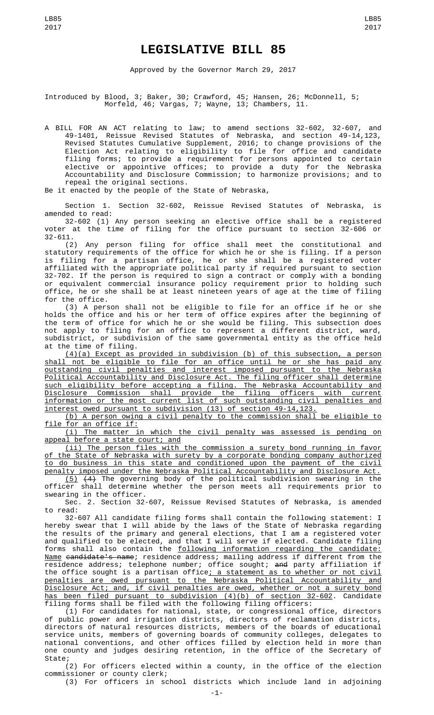Approved by the Governor March 29, 2017

Introduced by Blood, 3; Baker, 30; Crawford, 45; Hansen, 26; McDonnell, 5; Morfeld, 46; Vargas, 7; Wayne, 13; Chambers, 11.

A BILL FOR AN ACT relating to law; to amend sections 32-602, 32-607, and 49-1401, Reissue Revised Statutes of Nebraska, and section 49-14,123, Revised Statutes Cumulative Supplement, 2016; to change provisions of the Election Act relating to eligibility to file for office and candidate filing forms; to provide a requirement for persons appointed to certain elective or appointive offices; to provide a duty for the Nebraska Accountability and Disclosure Commission; to harmonize provisions; and to repeal the original sections.

Be it enacted by the people of the State of Nebraska,

Section 1. Section 32-602, Reissue Revised Statutes of Nebraska, is amended to read:

32-602 (1) Any person seeking an elective office shall be a registered voter at the time of filing for the office pursuant to section 32-606 or 32-611.

(2) Any person filing for office shall meet the constitutional and statutory requirements of the office for which he or she is filing. If a person is filing for a partisan office, he or she shall be a registered voter affiliated with the appropriate political party if required pursuant to section 32-702. If the person is required to sign a contract or comply with a bonding or equivalent commercial insurance policy requirement prior to holding such office, he or she shall be at least nineteen years of age at the time of filing for the office.

(3) A person shall not be eligible to file for an office if he or she holds the office and his or her term of office expires after the beginning of the term of office for which he or she would be filing. This subsection does not apply to filing for an office to represent a different district, ward, subdistrict, or subdivision of the same governmental entity as the office held at the time of filing.

(4)(a) Except as provided in subdivision (b) of this subsection, a person shall not be eligible to file for an office until he or she has paid any outstanding civil penalties and interest imposed pursuant to the Nebraska Political Accountability and Disclosure Act. The filing officer shall determine such eligibility before accepting a filing. The Nebraska Accountability and Disclosure Commission shall provide the filing officers with current information or the most current list of such outstanding civil penalties and interest owed pursuant to subdivision (13) of section 49-14,123.

(b) A person owing a civil penalty to the commission shall be eligible to file for an office if:

(i) The matter in which the civil penalty was assessed is pending on appeal before a state court; and

(ii) The person files with the commission a surety bond running in favor of the State of Nebraska with surety by a corporate bonding company authorized to do business in this state and conditioned upon the payment of the civil penalty imposed under the Nebraska Political Accountability and Disclosure Act.

 $(5)$   $(4)$  The governing body of the political subdivision swearing in the officer shall determine whether the person meets all requirements prior to swearing in the officer.

Sec. 2. Section 32-607, Reissue Revised Statutes of Nebraska, is amended to read:

32-607 All candidate filing forms shall contain the following statement: I hereby swear that I will abide by the laws of the State of Nebraska regarding the results of the primary and general elections, that I am a registered voter and qualified to be elected, and that I will serve if elected. Candidate filing forms shall also contain the following information regarding the candidate: <u>Name</u> <del>candidate's name</del>; residence address; mailing address if different from the residence address; telephone number; office sought; and party affiliation if the office sought is a partisan office<u>; a statement as to whether or not civil</u> penalties are owed pursuant to the Nebraska Political Accountability and Disclosure Act; and, if civil penalties are owed, whether or not a surety bond has been filed pursuant to subdivision (4)(b) of section 32-602. Candidate filing forms shall be filed with the following filing officers:

(1) For candidates for national, state, or congressional office, directors of public power and irrigation districts, directors of reclamation districts, directors of natural resources districts, members of the boards of educational service units, members of governing boards of community colleges, delegates to national conventions, and other offices filled by election held in more than one county and judges desiring retention, in the office of the Secretary of State;

(2) For officers elected within a county, in the office of the election commissioner or county clerk;

(3) For officers in school districts which include land in adjoining